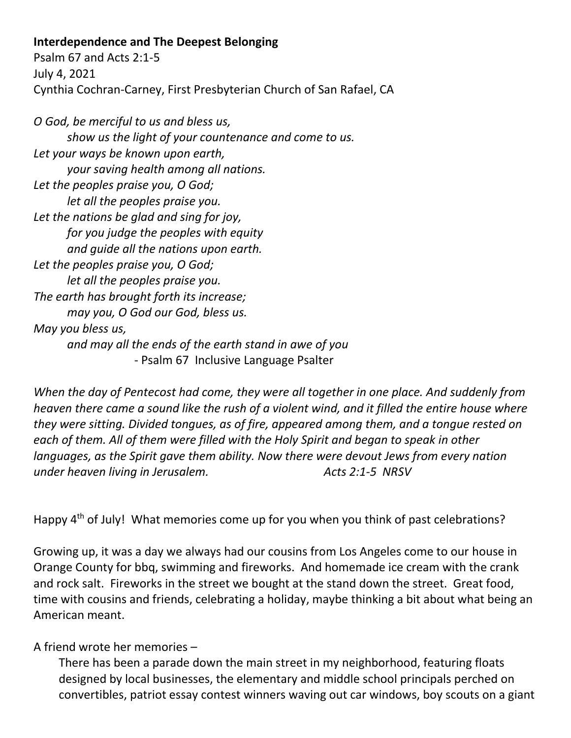## **Interdependence and The Deepest Belonging**

Psalm 67 and Acts 2:1-5 July 4, 2021 Cynthia Cochran-Carney, First Presbyterian Church of San Rafael, CA

*O God, be merciful to us and bless us, show us the light of your countenance and come to us. Let your ways be known upon earth, your saving health among all nations. Let the peoples praise you, O God; let all the peoples praise you. Let the nations be glad and sing for joy, for you judge the peoples with equity and guide all the nations upon earth. Let the peoples praise you, O God; let all the peoples praise you. The earth has brought forth its increase; may you, O God our God, bless us. May you bless us, and may all the ends of the earth stand in awe of you* - Psalm 67 Inclusive Language Psalter

*When the day of Pentecost had come, they were all together in one place. And suddenly from heaven there came a sound like the rush of a violent wind, and it filled the entire house where they were sitting. Divided tongues, as of fire, appeared among them, and a tongue rested on each of them. All of them were filled with the Holy Spirit and began to speak in other languages, as the Spirit gave them ability. Now there were devout Jews from every nation under heaven living in Jerusalem. Acts 2:1-5 NRSV*

Happy 4<sup>th</sup> of July! What memories come up for you when you think of past celebrations?

Growing up, it was a day we always had our cousins from Los Angeles come to our house in Orange County for bbq, swimming and fireworks. And homemade ice cream with the crank and rock salt. Fireworks in the street we bought at the stand down the street. Great food, time with cousins and friends, celebrating a holiday, maybe thinking a bit about what being an American meant.

## A friend wrote her memories –

There has been a parade down the main street in my neighborhood, featuring floats designed by local businesses, the elementary and middle school principals perched on convertibles, patriot essay contest winners waving out car windows, boy scouts on a giant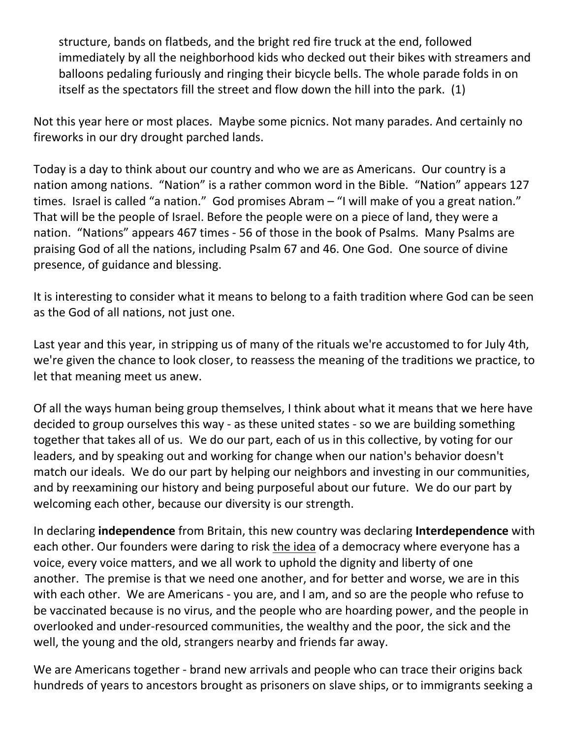structure, bands on flatbeds, and the bright red fire truck at the end, followed immediately by all the neighborhood kids who decked out their bikes with streamers and balloons pedaling furiously and ringing their bicycle bells. The whole parade folds in on itself as the spectators fill the street and flow down the hill into the park. (1)

Not this year here or most places. Maybe some picnics. Not many parades. And certainly no fireworks in our dry drought parched lands.

Today is a day to think about our country and who we are as Americans. Our country is a nation among nations. "Nation" is a rather common word in the Bible. "Nation" appears 127 times. Israel is called "a nation." God promises Abram – "I will make of you a great nation." That will be the people of Israel. Before the people were on a piece of land, they were a nation. "Nations" appears 467 times - 56 of those in the book of Psalms. Many Psalms are praising God of all the nations, including Psalm 67 and 46. One God. One source of divine presence, of guidance and blessing.

It is interesting to consider what it means to belong to a faith tradition where God can be seen as the God of all nations, not just one.

Last year and this year, in stripping us of many of the rituals we're accustomed to for July 4th, we're given the chance to look closer, to reassess the meaning of the traditions we practice, to let that meaning meet us anew.

Of all the ways human being group themselves, I think about what it means that we here have decided to group ourselves this way - as these united states - so we are building something together that takes all of us. We do our part, each of us in this collective, by voting for our leaders, and by speaking out and working for change when our nation's behavior doesn't match our ideals. We do our part by helping our neighbors and investing in our communities, and by reexamining our history and being purposeful about our future. We do our part by welcoming each other, because our diversity is our strength.

In declaring **independence** from Britain, this new country was declaring **Interdependence** with each other. Our founders were daring to risk the idea of a democracy where everyone has a voice, every voice matters, and we all work to uphold the dignity and liberty of one another. The premise is that we need one another, and for better and worse, we are in this with each other. We are Americans - you are, and I am, and so are the people who refuse to be vaccinated because is no virus, and the people who are hoarding power, and the people in overlooked and under-resourced communities, the wealthy and the poor, the sick and the well, the young and the old, strangers nearby and friends far away.

We are Americans together - brand new arrivals and people who can trace their origins back hundreds of years to ancestors brought as prisoners on slave ships, or to immigrants seeking a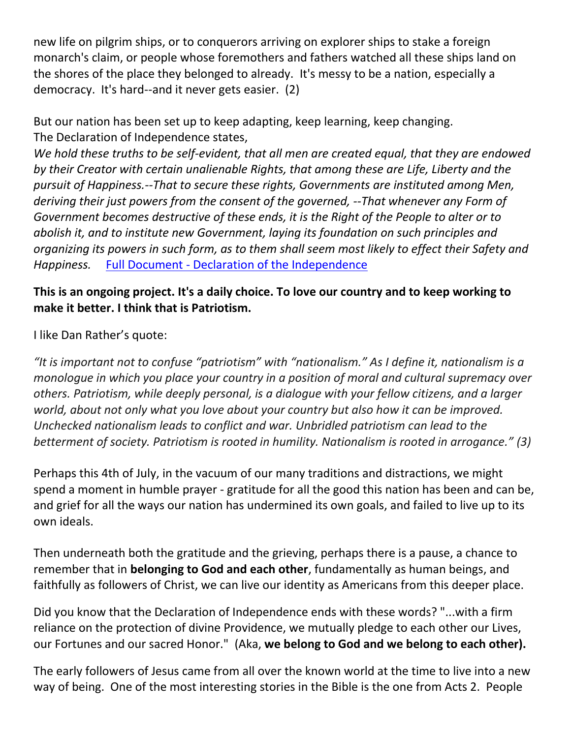new life on pilgrim ships, or to conquerors arriving on explorer ships to stake a foreign monarch's claim, or people whose foremothers and fathers watched all these ships land on the shores of the place they belonged to already. It's messy to be a nation, especially a democracy. It's hard--and it never gets easier. (2)

But our nation has been set up to keep adapting, keep learning, keep changing. The Declaration of Independence states,

*We hold these truths to be self-evident, that all men are created equal, that they are endowed by their Creator with certain unalienable Rights, that among these are Life, Liberty and the pursuit of Happiness.--That to secure these rights, Governments are instituted among Men, deriving their just powers from the consent of the governed, --That whenever any Form of Government becomes destructive of these ends, it is the Right of the People to alter or to abolish it, and to institute new Government, laying its foundation on such principles and organizing its powers in such form, as to them shall seem most likely to effect their Safety and Happiness.* Full Document - [Declaration of the Independence](https://www.archives.gov/founding-docs/declaration-transcript)

## **This is an ongoing project. It's a daily choice. To love our country and to keep working to make it better. I think that is Patriotism.**

I like Dan Rather's quote:

*"It is important not to confuse "patriotism" with "nationalism." As I define it, nationalism is a monologue in which you place your country in a position of moral and cultural supremacy over others. Patriotism, while deeply personal, is a dialogue with your fellow citizens, and a larger world, about not only what you love about your country but also how it can be improved. Unchecked nationalism leads to conflict and war. Unbridled patriotism can lead to the betterment of society. Patriotism is rooted in humility. Nationalism is rooted in arrogance." (3)*

Perhaps this 4th of July, in the vacuum of our many traditions and distractions, we might spend a moment in humble prayer - gratitude for all the good this nation has been and can be, and grief for all the ways our nation has undermined its own goals, and failed to live up to its own ideals.

Then underneath both the gratitude and the grieving, perhaps there is a pause, a chance to remember that in **belonging to God and each other**, fundamentally as human beings, and faithfully as followers of Christ, we can live our identity as Americans from this deeper place.

Did you know that the Declaration of Independence ends with these words? "...with a firm reliance on the protection of divine Providence, we mutually pledge to each other our Lives, our Fortunes and our sacred Honor." (Aka, **we belong to God and we belong to each other).**

The early followers of Jesus came from all over the known world at the time to live into a new way of being. One of the most interesting stories in the Bible is the one from Acts 2. People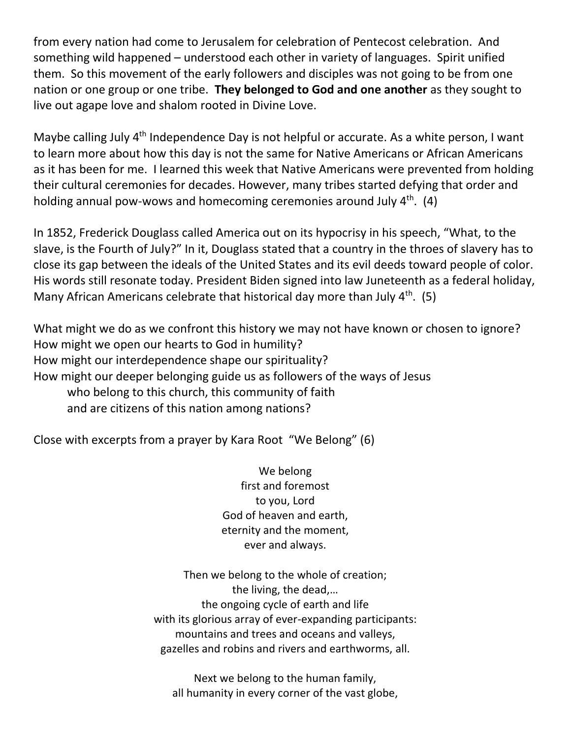from every nation had come to Jerusalem for celebration of Pentecost celebration. And something wild happened – understood each other in variety of languages. Spirit unified them. So this movement of the early followers and disciples was not going to be from one nation or one group or one tribe. **They belonged to God and one another** as they sought to live out agape love and shalom rooted in Divine Love.

Maybe calling July 4<sup>th</sup> Independence Day is not helpful or accurate. As a white person, I want to learn more about how this day is not the same for Native Americans or African Americans as it has been for me. I learned this week that Native Americans were prevented from holding their cultural ceremonies for decades. However, many tribes started defying that order and holding annual pow-wows and homecoming ceremonies around July 4<sup>th</sup>. (4)

In 1852, Frederick Douglass called America out on its hypocrisy in his speech, "What, to the slave, is the Fourth of July?" In it, Douglass stated that a country in the throes of slavery has to close its gap between the ideals of the United States and its evil deeds toward people of color. His words still resonate today. President Biden signed into law Juneteenth as a federal holiday, Many African Americans celebrate that historical day more than July  $4<sup>th</sup>$ . (5)

What might we do as we confront this history we may not have known or chosen to ignore? How might we open our hearts to God in humility? How might our interdependence shape our spirituality? How might our deeper belonging guide us as followers of the ways of Jesus who belong to this church, this community of faith and are citizens of this nation among nations?

Close with excerpts from a prayer by Kara Root "We Belong" (6)

We belong first and foremost to you, Lord God of heaven and earth, eternity and the moment, ever and always.

Then we belong to the whole of creation; the living, the dead,… the ongoing cycle of earth and life with its glorious array of ever-expanding participants: mountains and trees and oceans and valleys, gazelles and robins and rivers and earthworms, all.

Next we belong to the human family, all humanity in every corner of the vast globe,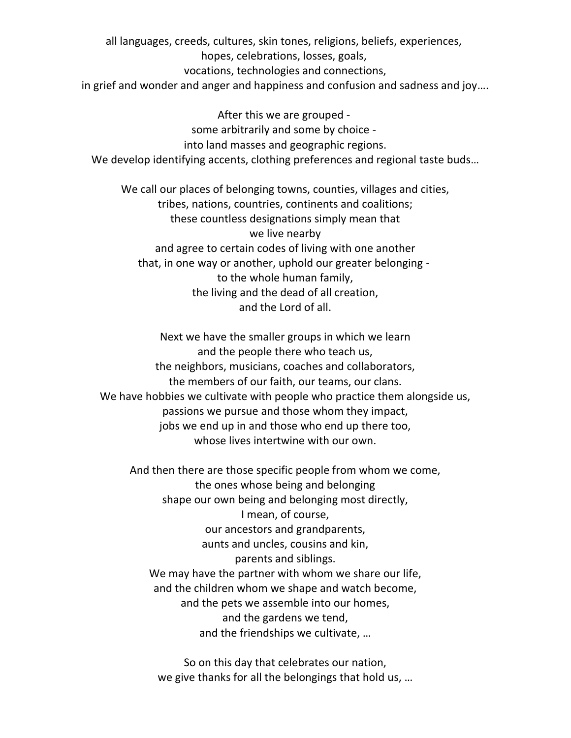all languages, creeds, cultures, skin tones, religions, beliefs, experiences,

hopes, celebrations, losses, goals,

vocations, technologies and connections,

in grief and wonder and anger and happiness and confusion and sadness and joy….

After this we are grouped some arbitrarily and some by choice into land masses and geographic regions. We develop identifying accents, clothing preferences and regional taste buds…

We call our places of belonging towns, counties, villages and cities, tribes, nations, countries, continents and coalitions; these countless designations simply mean that we live nearby and agree to certain codes of living with one another that, in one way or another, uphold our greater belonging to the whole human family, the living and the dead of all creation, and the Lord of all.

Next we have the smaller groups in which we learn and the people there who teach us, the neighbors, musicians, coaches and collaborators, the members of our faith, our teams, our clans. We have hobbies we cultivate with people who practice them alongside us, passions we pursue and those whom they impact, jobs we end up in and those who end up there too, whose lives intertwine with our own.

And then there are those specific people from whom we come, the ones whose being and belonging shape our own being and belonging most directly, I mean, of course, our ancestors and grandparents, aunts and uncles, cousins and kin, parents and siblings. We may have the partner with whom we share our life, and the children whom we shape and watch become, and the pets we assemble into our homes, and the gardens we tend, and the friendships we cultivate, …

So on this day that celebrates our nation, we give thanks for all the belongings that hold us, …